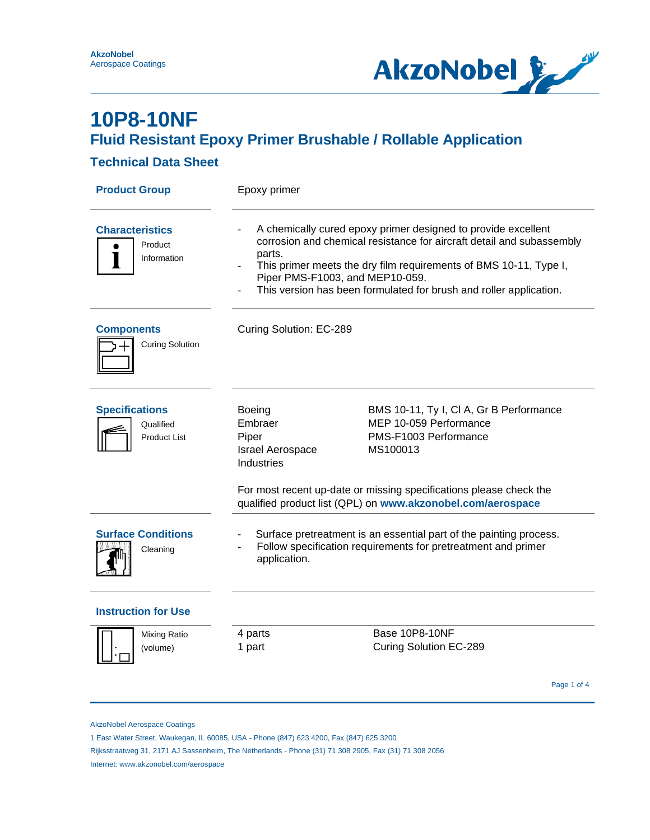

### **Technical Data Sheet**

| <b>Product Group</b>                                      | Epoxy primer                                                                                                                                                                                                                                                                                                                   |                                                                                                        |  |
|-----------------------------------------------------------|--------------------------------------------------------------------------------------------------------------------------------------------------------------------------------------------------------------------------------------------------------------------------------------------------------------------------------|--------------------------------------------------------------------------------------------------------|--|
| <b>Characteristics</b><br>Product<br>Information          | A chemically cured epoxy primer designed to provide excellent<br>corrosion and chemical resistance for aircraft detail and subassembly<br>parts.<br>This primer meets the dry film requirements of BMS 10-11, Type I,<br>Piper PMS-F1003, and MEP10-059.<br>This version has been formulated for brush and roller application. |                                                                                                        |  |
| <b>Components</b><br><b>Curing Solution</b>               | Curing Solution: EC-289                                                                                                                                                                                                                                                                                                        |                                                                                                        |  |
| <b>Specifications</b><br>Qualified<br><b>Product List</b> | <b>Boeing</b><br>Embraer<br>Piper<br><b>Israel Aerospace</b><br><b>Industries</b>                                                                                                                                                                                                                                              | BMS 10-11, Ty I, CI A, Gr B Performance<br>MEP 10-059 Performance<br>PMS-F1003 Performance<br>MS100013 |  |
|                                                           | For most recent up-date or missing specifications please check the<br>qualified product list (QPL) on www.akzonobel.com/aerospace                                                                                                                                                                                              |                                                                                                        |  |
| <b>Surface Conditions</b><br>Cleaning                     | Surface pretreatment is an essential part of the painting process.<br>Follow specification requirements for pretreatment and primer<br>application.                                                                                                                                                                            |                                                                                                        |  |
| <b>Instruction for Use</b>                                |                                                                                                                                                                                                                                                                                                                                |                                                                                                        |  |
| <b>Mixing Ratio</b><br>(volume)                           | 4 parts<br>1 part                                                                                                                                                                                                                                                                                                              | <b>Base 10P8-10NF</b><br>Curing Solution EC-289                                                        |  |
|                                                           |                                                                                                                                                                                                                                                                                                                                | Page 1 of 4                                                                                            |  |

AkzoNobel Aerospace Coatings

1 East Water Street, Waukegan, IL 60085, USA - Phone (847) 623 4200, Fax (847) 625 3200

Rijksstraatweg 31, 2171 AJ Sassenheim, The Netherlands - Phone (31) 71 308 2905, Fax (31) 71 308 2056

Internet: www.akzonobel.com/aerospace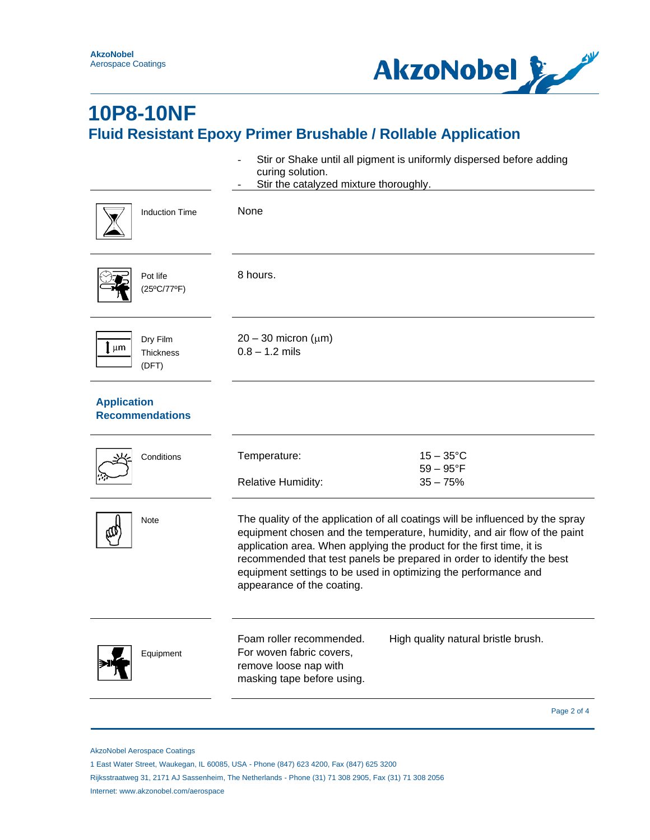

|                                                          | Stir or Shake until all pigment is uniformly dispersed before adding<br>curing solution.<br>Stir the catalyzed mixture thoroughly.                                                                                                                                                                                                                                                                              |  |  |
|----------------------------------------------------------|-----------------------------------------------------------------------------------------------------------------------------------------------------------------------------------------------------------------------------------------------------------------------------------------------------------------------------------------------------------------------------------------------------------------|--|--|
| <b>Induction Time</b>                                    | None                                                                                                                                                                                                                                                                                                                                                                                                            |  |  |
| Pot life<br>(25°C/77°F)                                  | 8 hours.                                                                                                                                                                                                                                                                                                                                                                                                        |  |  |
| Dry Film<br>$\mathbf{l}$ µm<br><b>Thickness</b><br>(DFT) | $20 - 30$ micron ( $\mu$ m)<br>$0.8 - 1.2$ mils                                                                                                                                                                                                                                                                                                                                                                 |  |  |
| <b>Application</b><br><b>Recommendations</b>             |                                                                                                                                                                                                                                                                                                                                                                                                                 |  |  |
| Conditions                                               | $15-35$ °C<br>Temperature:<br>$59-95$ °F<br>$35 - 75%$<br><b>Relative Humidity:</b>                                                                                                                                                                                                                                                                                                                             |  |  |
| Note                                                     | The quality of the application of all coatings will be influenced by the spray<br>equipment chosen and the temperature, humidity, and air flow of the paint<br>application area. When applying the product for the first time, it is<br>recommended that test panels be prepared in order to identify the best<br>equipment settings to be used in optimizing the performance and<br>appearance of the coating. |  |  |
| Equipment                                                | Foam roller recommended.<br>High quality natural bristle brush.<br>For woven fabric covers,<br>remove loose nap with<br>masking tape before using.                                                                                                                                                                                                                                                              |  |  |
|                                                          | Page 2 of 4                                                                                                                                                                                                                                                                                                                                                                                                     |  |  |

AkzoNobel Aerospace Coatings

1 East Water Street, Waukegan, IL 60085, USA - Phone (847) 623 4200, Fax (847) 625 3200

Rijksstraatweg 31, 2171 AJ Sassenheim, The Netherlands - Phone (31) 71 308 2905, Fax (31) 71 308 2056

Internet: www.akzonobel.com/aerospace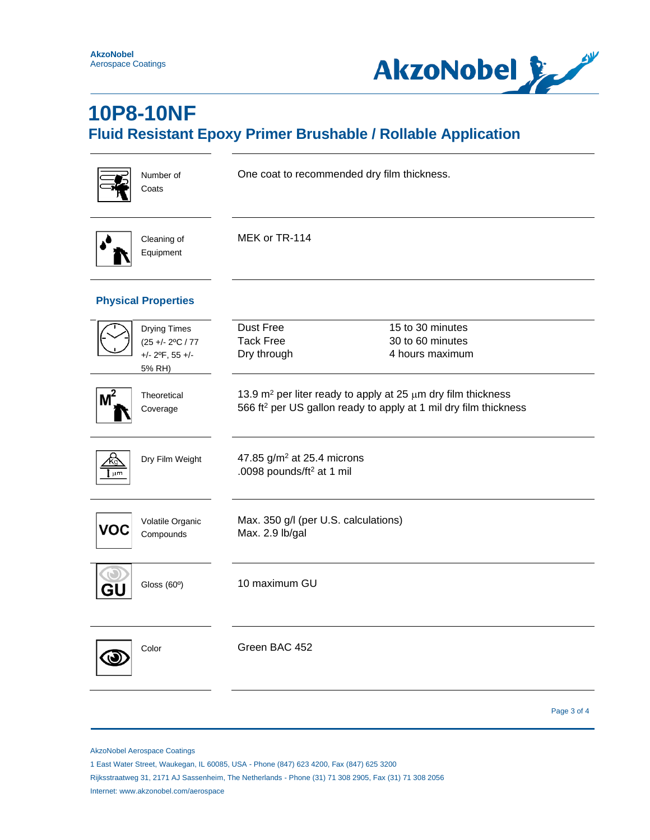

| Number of<br>Coats                                                                       | One coat to recommended dry film thickness.                                                                                                          |  |  |
|------------------------------------------------------------------------------------------|------------------------------------------------------------------------------------------------------------------------------------------------------|--|--|
| Cleaning of<br>Equipment                                                                 | MEK or TR-114                                                                                                                                        |  |  |
| <b>Physical Properties</b>                                                               |                                                                                                                                                      |  |  |
| <b>Drying Times</b><br>$(25 + - 2$ °C / 77<br>$+/- 2$ <sup>o</sup> F, 55 $+/-$<br>5% RH) | Dust Free<br>15 to 30 minutes<br><b>Tack Free</b><br>30 to 60 minutes<br>Dry through<br>4 hours maximum                                              |  |  |
| ,2<br>Theoretical<br>Coverage                                                            | 13.9 $m^2$ per liter ready to apply at 25 $\mu$ m dry film thickness<br>566 ft <sup>2</sup> per US gallon ready to apply at 1 mil dry film thickness |  |  |
| Dry Film Weight<br>um.                                                                   | 47.85 g/m <sup>2</sup> at 25.4 microns<br>.0098 pounds/ft <sup>2</sup> at 1 mil                                                                      |  |  |
| Volatile Organic<br>/O<br>Compounds                                                      | Max. 350 g/l (per U.S. calculations)<br>Max. 2.9 lb/gal                                                                                              |  |  |
| Gloss $(60°)$                                                                            | 10 maximum GU                                                                                                                                        |  |  |
| Color                                                                                    | Green BAC 452                                                                                                                                        |  |  |
|                                                                                          | Page 3 of 4                                                                                                                                          |  |  |

AkzoNobel Aerospace Coatings

1 East Water Street, Waukegan, IL 60085, USA - Phone (847) 623 4200, Fax (847) 625 3200

Rijksstraatweg 31, 2171 AJ Sassenheim, The Netherlands - Phone (31) 71 308 2905, Fax (31) 71 308 2056 Internet: www.akzonobel.com/aerospace